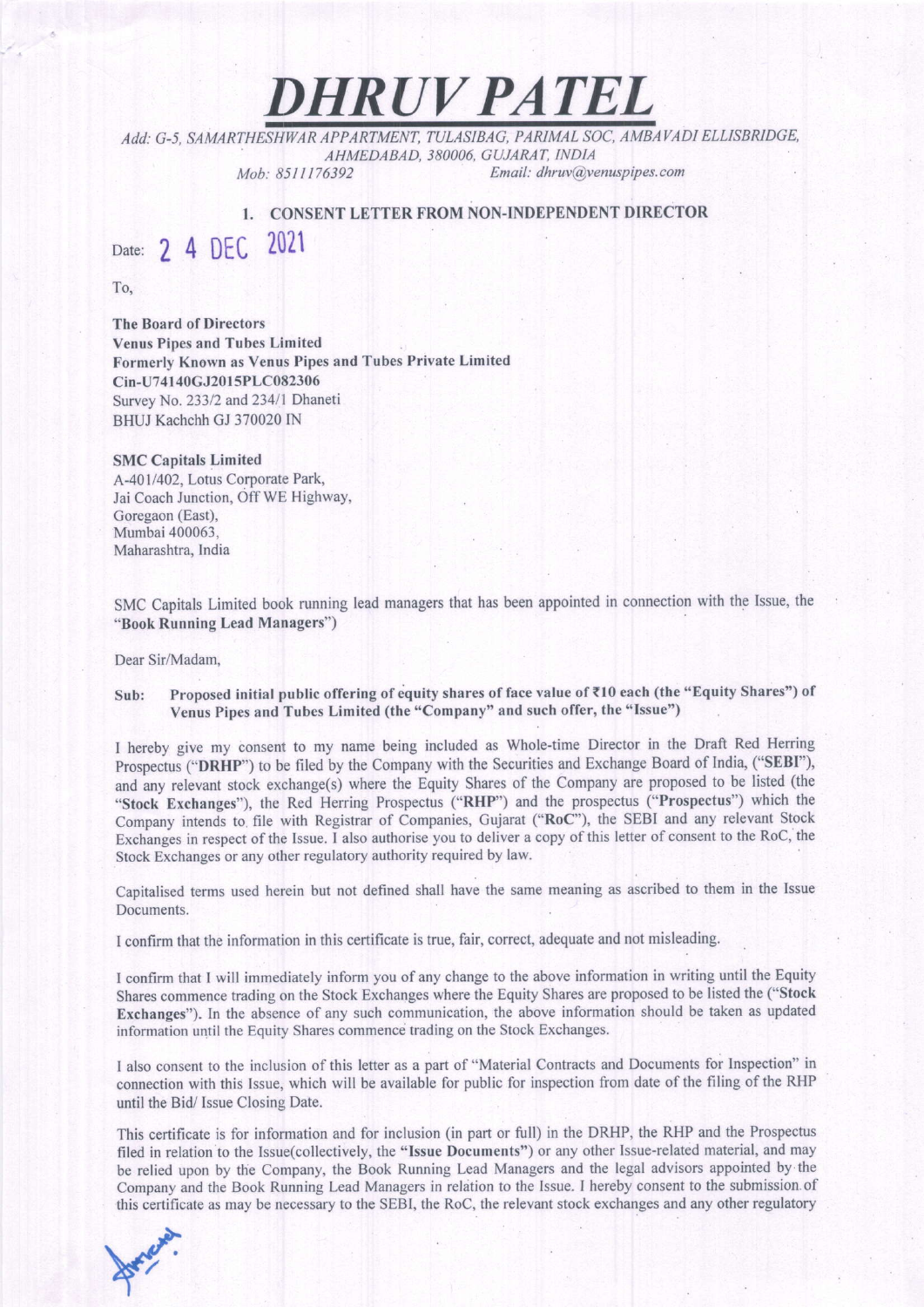DHRUV PATEL

Add: G-5, SAMARTHESHWAR APPARTMENT, TULASIBAG, PARIMAL SOC, AMBAVADI ELLISBRIDGE,<br>AHMEDABAD, 380006, GUJARAT, INDIA Mob: 8511176392 Email: dhruv@yenuspipes.com

I. CONSENT LETTER FROM NON-INDEPENDENT DIRECTOR

Date: 2 4 DEC 2021

To,

The Board of Directors Venus Pipes and Tubes Limited Formerly Known as Venus Pipes and Tubes Private Limited Cin-U741 40GJ20l 5PLC082306 Survey No. 233/2 and 234/1 Dhaneti BHUJ Kachchh GJ 370020 IN

## SMC Capitals Limited

A-401/402. Lotus Corporate Park, Jai Coach Junction, Off WE HighwaY, Goregaon (East). Mumbai 400063. Maharashtra, India

SMC Capitals Limited book running lead managers that has been appointed in connection with the Issue, the "Book Running Lead Managers")

Dear Sir/Madam.

## Sub: Proposed initial public offering of equity shares of face value of ₹10 each (the "Equity Shares") of Venus Pipes and Tubes Limited (the "Company" and such offer, the "Issue")

I hereby give my consent to my name being included as Whole-time Director in the Draft Red Herring Prospectus ("DRHP") to be filed by the Company with the Securities and Exchange Board of India, ("SEBI"), and any relevant stock exchange(s) where the Equity Shares of the Company are proposed to be listed (he "Stock Exchanges"), the Red Herring Prospectus ("RHP") and the prospectus ("Prospectus") which the company intends to. file with Registrar of companies, Gujarat ("Roc"), the SEBI and any relevant stock Exchanges in respect of the Issue. I also authorise you to deliver a copy of this letter of consent to the RoC, the Stock Exchanges or any other regulatory authority required by law.

Capitalised terms used herein but not defined shall have the same meaning as ascribed to them in the Issue Documents.

I confirm that the information in this certificate is true, fair, correct, adequate and not misleading.

t confirm that I will immediately inform you of any change to the above information in writing until the Equity Shares commence trading on the Stock Exchanges where the Equity Shares are proposed to be listed the ("Stock Exchanges"), In the absence of any such communication, the above information should be taken as updated information until the Equity Shares commence trading on the Stock Exchanges.

I also consent to the inclusion of this letter as a part of "Material Contracts and Documents for Inspection" in connection with this Issue, which will be available for public for inspection from date of the filing of the RHP until the Bid/ Issue Closing Date.

This certificate is for information and for inclusion (in part or full) in the DRHP, the RHP and the Prospectus filed in relation to the Issue(collectively, the "lssue Documents") or any other Issue-related material, and may be relied upon by the Company, the Book Running Lead Managers and the legal advisors appointed by the Company and the Book Running Lead Managers in relation to the Issue. I hereby consent to the submission of this certificate as may be necessary to the SEBI, the RoC, the relevant stock exchanges and any other regulatory

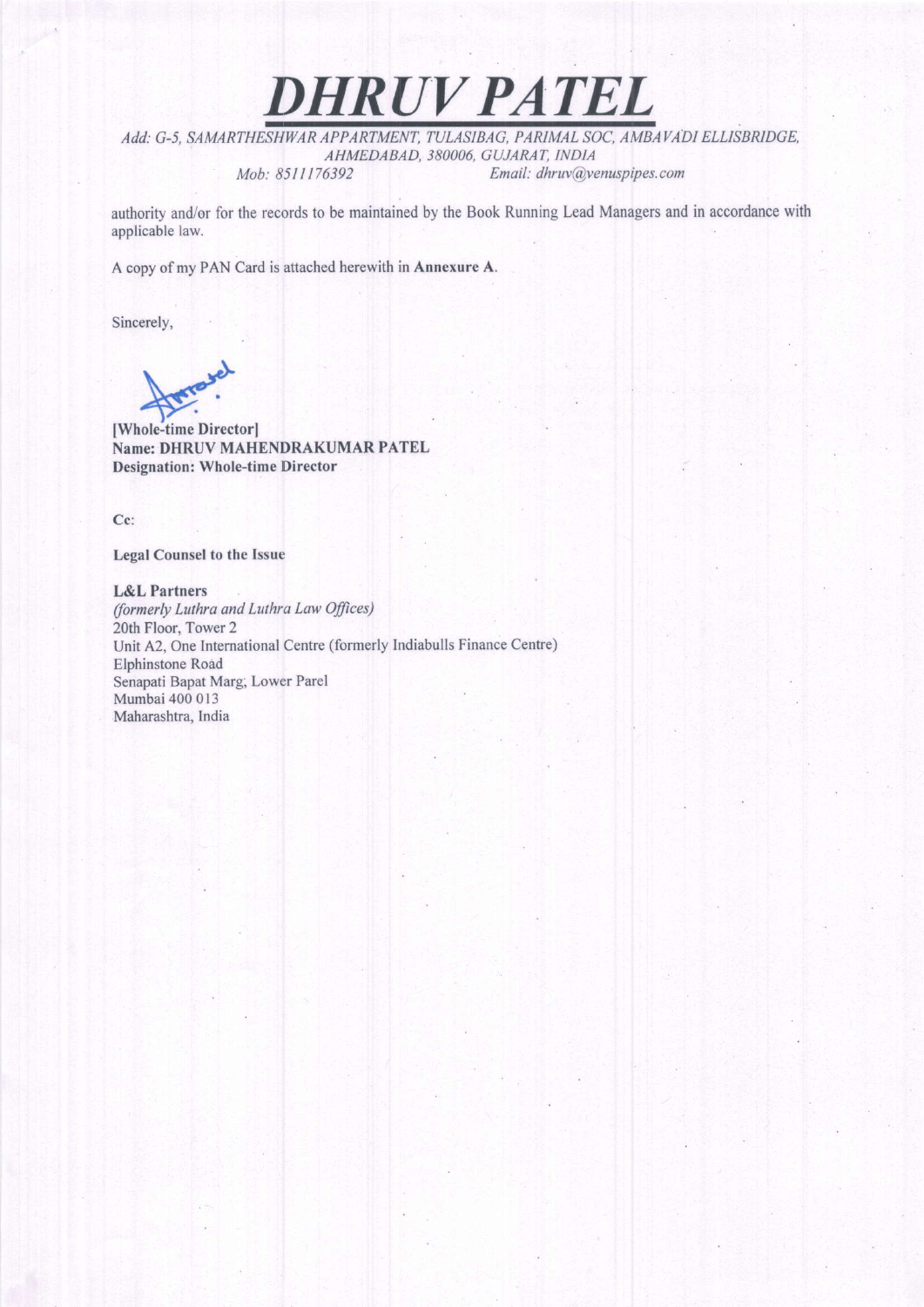Add: G-5, SAMARTHESHWAR APPARTMENT, TULASIBAG, PARIMAL SOC, AMBAVADI ELLISBRIDGE, AHMEDABAD, 380006, GUJARAT, INDIA Mob: 8511176392 Email: dhruv@yenuspipes.com

DHRUV PATEL

authority and/or for the records to be maintained by the Book Running Lead Managers and in accordance with applicable law.

A copy of my PAN Card is attached herewith in Annexure A.

Sincerely,

[Whole-time Director] Name: DHRUV MAHENDRAKUMAR PATEL Designation: Whole-time Director

Cc:

Legal Counsel to the Issue

L&L Partners (formerly Luthra and Luthra Low Ofjices) 20th Floor, Tower 2 Unit A2, One International Centre (formerly Indiabulls Finance Centre) Elphinstone Road Senapati Bapat Marg, Lower Parel Mumbai 400 013 Maharashtra, India